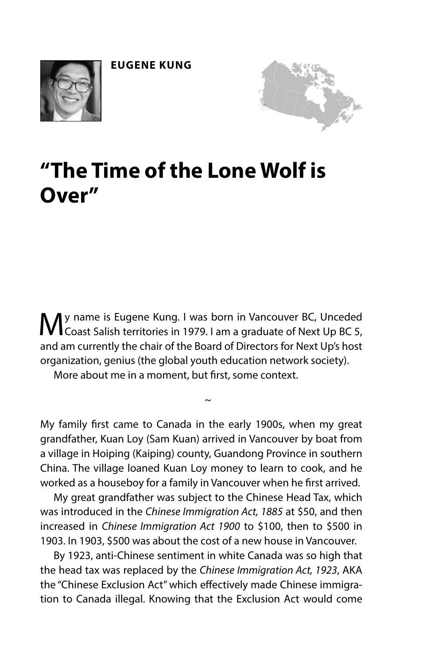



## **"The Time of the Lone Wolf is Over"**

My name is Eugene Kung. I was born in Vancouver BC, Unceded Coast Salish territories in 1979. I am a graduate of Next Up BC 5, and am currently the chair of the Board of Directors for Next Up's host organization, genius (the global youth education network society).

More about me in a moment, but frst, some context.

My family frst came to Canada in the early 1900s, when my great grandfather, Kuan Loy (Sam Kuan) arrived in Vancouver by boat from a village in Hoiping (Kaiping) county, Guandong Province in southern China. The village loaned Kuan Loy money to learn to cook, and he worked as a houseboy for a family in Vancouver when he frst arrived.

~

My great grandfather was subject to the Chinese Head Tax, which was introduced in the *Chinese Immigration Act, 1885* at \$50, and then increased in *Chinese Immigration Act 1900* to \$100, then to \$500 in 1903. In 1903, \$500 was about the cost of a new house in Vancouver.

By 1923, anti-Chinese sentiment in white Canada was so high that the head tax was replaced by the *Chinese Immigration Act, 1923*, AKA the "Chinese Exclusion Act" which efectively made Chinese immigration to Canada illegal. Knowing that the Exclusion Act would come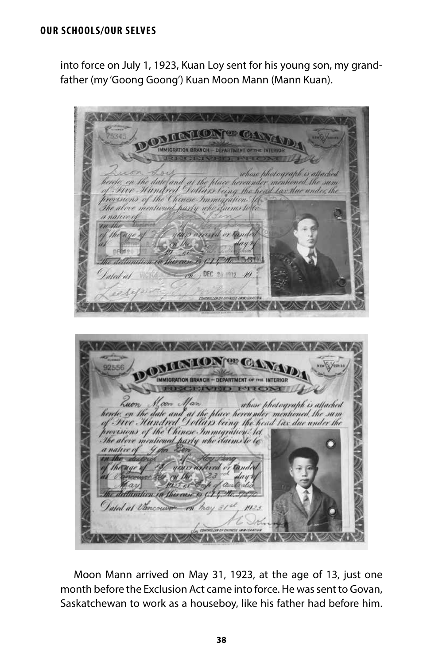## **OUR SCHOOLS/OUR SELVES**

into force on July 1, 1923, Kuan Loy sent for his young son, my grandfather (my 'Goong Goong') Kuan Moon Mann (Mann Kuan).

where photograph is attached the date and at the place hereunder mentioned the sum<br>Mundred Dollars leing the head lax the under the m crions of the Chinese Immigration. 16 above mentioned party who during to native  $7.141$  $DF($ aled whose photograph is attached and at the place hereunder mentioned the sum Hundred Dollars being the head las due under the the Chinese Immigration. let daims to artu who diuntic aled at Vanc

Moon Mann arrived on May 31, 1923, at the age of 13, just one month before the Exclusion Act came into force. He was sent to Govan, Saskatchewan to work as a houseboy, like his father had before him.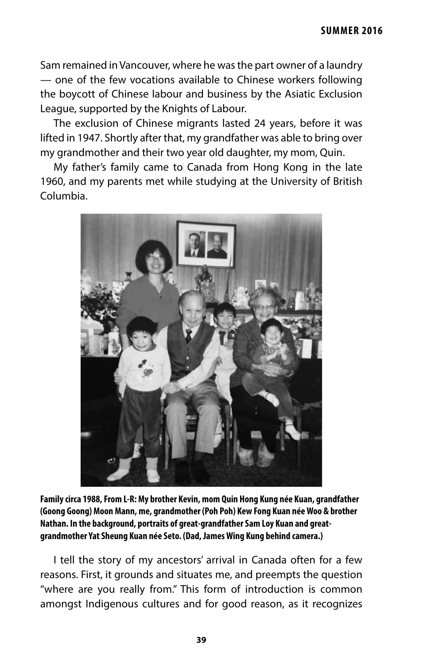Sam remained in Vancouver, where he was the part owner of a laundry — one of the few vocations available to Chinese workers following the boycott of Chinese labour and business by the Asiatic Exclusion League, supported by the Knights of Labour.

The exclusion of Chinese migrants lasted 24 years, before it was lifted in 1947. Shortly after that, my grandfather was able to bring over my grandmother and their two year old daughter, my mom, Quin.

My father's family came to Canada from Hong Kong in the late 1960, and my parents met while studying at the University of British Columbia.



**Family circa 1988, From L-R: My brother Kevin, mom Quin Hong Kung née Kuan, grandfather (Goong Goong) Moon Mann, me, grandmother (Poh Poh) Kew Fong Kuan née Woo & brother Nathan. In the background, portraits of great-grandfather Sam Loy Kuan and greatgrandmother Yat Sheung Kuan née Seto. (Dad, James Wing Kung behind camera.)**

I tell the story of my ancestors' arrival in Canada often for a few reasons. First, it grounds and situates me, and preempts the question "where are you really from." This form of introduction is common amongst Indigenous cultures and for good reason, as it recognizes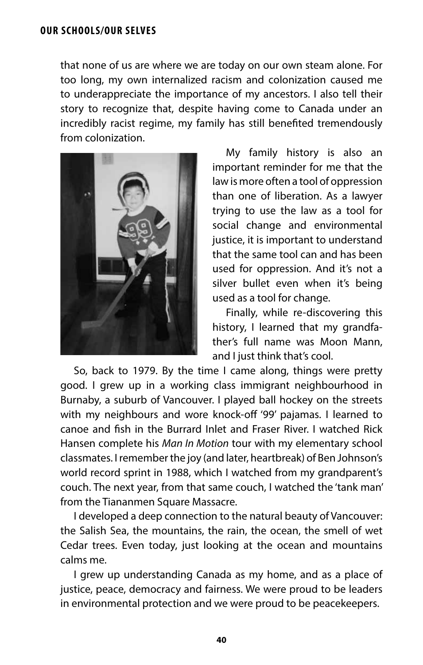that none of us are where we are today on our own steam alone. For too long, my own internalized racism and colonization caused me to underappreciate the importance of my ancestors. I also tell their story to recognize that, despite having come to Canada under an incredibly racist regime, my family has still benefted tremendously from colonization.



My family history is also an important reminder for me that the law is more often a tool of oppression than one of liberation. As a lawyer trying to use the law as a tool for social change and environmental justice, it is important to understand that the same tool can and has been used for oppression. And it's not a silver bullet even when it's being used as a tool for change.

Finally, while re-discovering this history, I learned that my grandfather's full name was Moon Mann, and I just think that's cool.

So, back to 1979. By the time I came along, things were pretty good. I grew up in a working class immigrant neighbourhood in Burnaby, a suburb of Vancouver. I played ball hockey on the streets with my neighbours and wore knock-off '99' pajamas. I learned to canoe and fsh in the Burrard Inlet and Fraser River. I watched Rick Hansen complete his *Man In Motion* tour with my elementary school classmates. I remember the joy (and later, heartbreak) of Ben Johnson's world record sprint in 1988, which I watched from my grandparent's couch. The next year, from that same couch, I watched the 'tank man' from the Tiananmen Square Massacre.

I developed a deep connection to the natural beauty of Vancouver: the Salish Sea, the mountains, the rain, the ocean, the smell of wet Cedar trees. Even today, just looking at the ocean and mountains calms me.

I grew up understanding Canada as my home, and as a place of justice, peace, democracy and fairness. We were proud to be leaders in environmental protection and we were proud to be peacekeepers.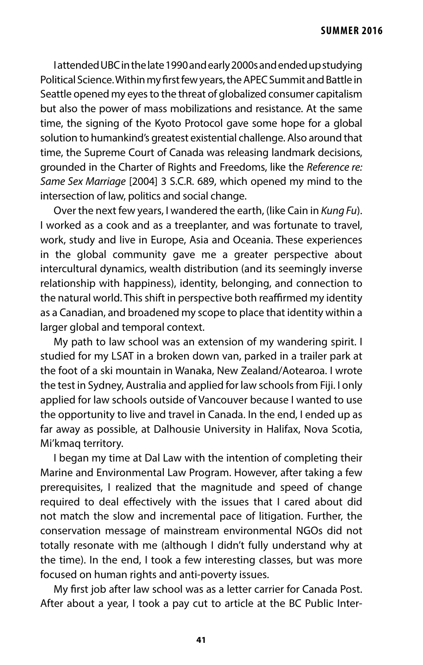I attended UBC in the late 1990 and early 2000s and ended up studying Political Science. Within my frst few years, the APEC Summit and Battle in Seattle opened my eyes to the threat of globalized consumer capitalism but also the power of mass mobilizations and resistance. At the same time, the signing of the Kyoto Protocol gave some hope for a global solution to humankind's greatest existential challenge. Also around that time, the Supreme Court of Canada was releasing landmark decisions, grounded in the Charter of Rights and Freedoms, like the *Reference re: Same Sex Marriage* [2004] 3 S.C.R. 689, which opened my mind to the intersection of law, politics and social change.

Over the next few years, I wandered the earth, (like Cain in *Kung Fu*). I worked as a cook and as a treeplanter, and was fortunate to travel, work, study and live in Europe, Asia and Oceania. These experiences in the global community gave me a greater perspective about intercultural dynamics, wealth distribution (and its seemingly inverse relationship with happiness), identity, belonging, and connection to the natural world. This shift in perspective both reaffirmed my identity as a Canadian, and broadened my scope to place that identity within a larger global and temporal context.

My path to law school was an extension of my wandering spirit. I studied for my LSAT in a broken down van, parked in a trailer park at the foot of a ski mountain in Wanaka, New Zealand/Aotearoa. I wrote the test in Sydney, Australia and applied for law schools from Fiji. I only applied for law schools outside of Vancouver because I wanted to use the opportunity to live and travel in Canada. In the end, I ended up as far away as possible, at Dalhousie University in Halifax, Nova Scotia, Mi'kmaq territory.

I began my time at Dal Law with the intention of completing their Marine and Environmental Law Program. However, after taking a few prerequisites, I realized that the magnitude and speed of change required to deal efectively with the issues that I cared about did not match the slow and incremental pace of litigation. Further, the conservation message of mainstream environmental NGOs did not totally resonate with me (although I didn't fully understand why at the time). In the end, I took a few interesting classes, but was more focused on human rights and anti-poverty issues.

My frst job after law school was as a letter carrier for Canada Post. After about a year, I took a pay cut to article at the BC Public Inter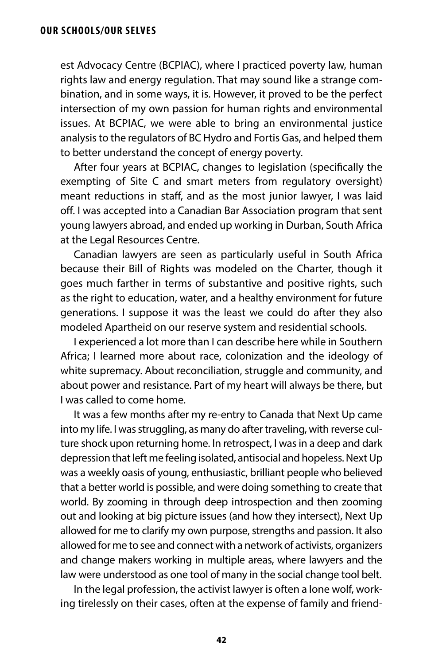est Advocacy Centre (BCPIAC), where I practiced poverty law, human rights law and energy regulation. That may sound like a strange combination, and in some ways, it is. However, it proved to be the perfect intersection of my own passion for human rights and environmental issues. At BCPIAC, we were able to bring an environmental justice analysis to the regulators of BC Hydro and Fortis Gas, and helped them to better understand the concept of energy poverty.

After four years at BCPIAC, changes to legislation (specifcally the exempting of Site C and smart meters from regulatory oversight) meant reductions in staf, and as the most junior lawyer, I was laid off. I was accepted into a Canadian Bar Association program that sent young lawyers abroad, and ended up working in Durban, South Africa at the Legal Resources Centre.

Canadian lawyers are seen as particularly useful in South Africa because their Bill of Rights was modeled on the Charter, though it goes much farther in terms of substantive and positive rights, such as the right to education, water, and a healthy environment for future generations. I suppose it was the least we could do after they also modeled Apartheid on our reserve system and residential schools.

I experienced a lot more than I can describe here while in Southern Africa; I learned more about race, colonization and the ideology of white supremacy. About reconciliation, struggle and community, and about power and resistance. Part of my heart will always be there, but I was called to come home.

It was a few months after my re-entry to Canada that Next Up came into my life. I was struggling, as many do after traveling, with reverse culture shock upon returning home. In retrospect, I was in a deep and dark depression that left me feeling isolated, antisocial and hopeless. Next Up was a weekly oasis of young, enthusiastic, brilliant people who believed that a better world is possible, and were doing something to create that world. By zooming in through deep introspection and then zooming out and looking at big picture issues (and how they intersect), Next Up allowed for me to clarify my own purpose, strengths and passion. It also allowed for me to see and connect with a network of activists, organizers and change makers working in multiple areas, where lawyers and the law were understood as one tool of many in the social change tool belt.

In the legal profession, the activist lawyer is often a lone wolf, working tirelessly on their cases, often at the expense of family and friend-

**42**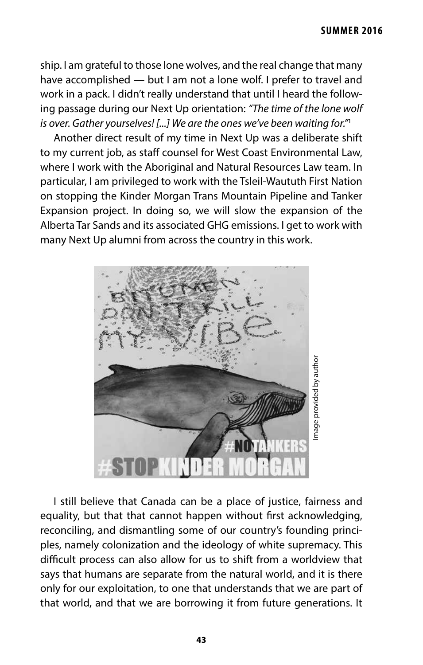ship. I am grateful to those lone wolves, and the real change that many have accomplished — but I am not a lone wolf. I prefer to travel and work in a pack. I didn't really understand that until I heard the following passage during our Next Up orientation: *"The time of the lone wolf is over. Gather yourselves! [...] We are the ones we've been waiting for."*<sup>1</sup>

Another direct result of my time in Next Up was a deliberate shift to my current job, as staff counsel for West Coast Environmental Law, where I work with the Aboriginal and Natural Resources Law team. In particular, I am privileged to work with the Tsleil-Waututh First Nation on stopping the Kinder Morgan Trans Mountain Pipeline and Tanker Expansion project. In doing so, we will slow the expansion of the Alberta Tar Sands and its associated GHG emissions. I get to work with many Next Up alumni from across the country in this work.



I still believe that Canada can be a place of justice, fairness and equality, but that that cannot happen without frst acknowledging, reconciling, and dismantling some of our country's founding principles, namely colonization and the ideology of white supremacy. This difficult process can also allow for us to shift from a worldview that says that humans are separate from the natural world, and it is there only for our exploitation, to one that understands that we are part of THAT WITH WAT WITH THAT WITHOUT THAT WITHOUT THAT WITHOUT THAT WITHOUT THAT WITHOUT THAT WITHOUT THAT WITHOUT THAT WITHOUT THE SURVEY CONTINUES THAT WITHOUT THE SURVEY CONTINUES THAT WITHOUT THE SURVEY CONTINUES THAT WAS S